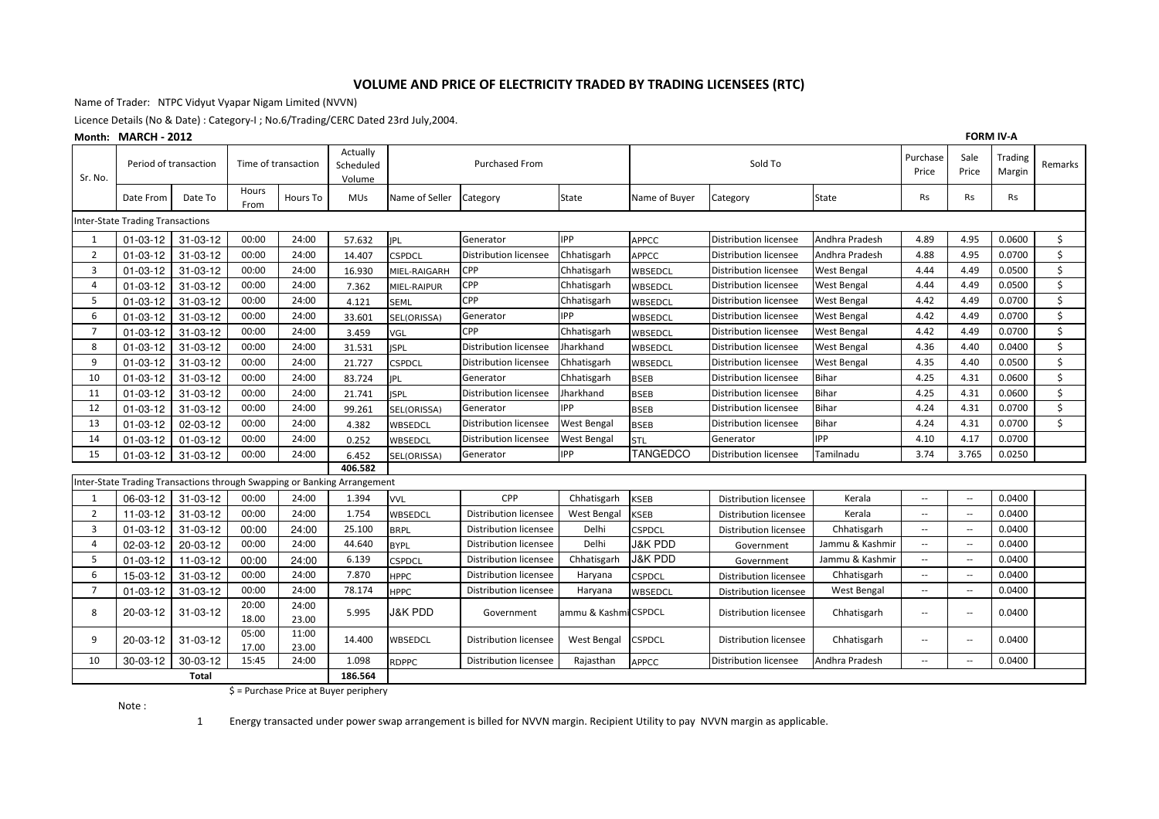### VOLUME AND PRICE OF ELECTRICITY TRADED BY TRADING LICENSEES (RTC)

Name of Trader: NTPC Vidyut Vyapar Nigam Limited (NVVN)

Licence Details (No & Date) : Category-I ; No.6/Trading/CERC Dated 23rd July,2004.

#### $M$ onth:  $M$  $A$  $D$  $C$  $H$   $2$  $0$  $1$  $2$

|                         | <b>FORM IV-A</b><br>Month: MARCH - 2012 |                       |                     |                |                                                                          |                    |                              |                      |                    |                              |                    |                          |                          |                   |         |
|-------------------------|-----------------------------------------|-----------------------|---------------------|----------------|--------------------------------------------------------------------------|--------------------|------------------------------|----------------------|--------------------|------------------------------|--------------------|--------------------------|--------------------------|-------------------|---------|
| Sr. No.                 |                                         | Period of transaction | Time of transaction |                | Actually<br>Scheduled<br>Volume                                          |                    | <b>Purchased From</b>        |                      |                    | Sold To                      |                    | Purchase<br>Price        | Sale<br>Price            | Trading<br>Margin | Remarks |
|                         | Date From                               | Date To               | Hours<br>From       | Hours To       | <b>MUs</b>                                                               | Name of Seller     | Category                     | State                | Name of Buyer      | Category                     | State              | Rs                       | Rs                       | Rs                |         |
|                         | <b>Inter-State Trading Transactions</b> |                       |                     |                |                                                                          |                    |                              |                      |                    |                              |                    |                          |                          |                   |         |
| 1                       | $01 - 03 - 12$                          | 31-03-12              | 00:00               | 24:00          | 57.632                                                                   | <b>JPL</b>         | Generator                    | <b>IPP</b>           | <b>APPCC</b>       | Distribution licensee        | Andhra Pradesh     | 4.89                     | 4.95                     | 0.0600            | \$      |
| $\overline{2}$          | $01 - 03 - 12$                          | $31 - 03 - 12$        | 00:00               | 24:00          | 14.407                                                                   | <b>CSPDCL</b>      | Distribution licensee        | Chhatisgarh          | <b>APPCC</b>       | Distribution licensee        | Andhra Pradesh     | 4.88                     | 4.95                     | 0.0700            | \$      |
| $\overline{\mathbf{3}}$ | $01 - 03 - 12$                          | 31-03-12              | 00:00               | 24:00          | 16.930                                                                   | MIEL-RAIGARH       | CPP                          | Chhatisgarh          | WBSEDCL            | Distribution licensee        | West Bengal        | 4.44                     | 4.49                     | 0.0500            | \$      |
| $\overline{4}$          | $01 - 03 - 12$                          | 31-03-12              | 00:00               | 24:00          | 7.362                                                                    | MIEL-RAIPUR        | CPP                          | Chhatisgarh          | WBSEDCL            | Distribution licensee        | <b>West Bengal</b> | 4.44                     | 4.49                     | 0.0500            | \$      |
| 5                       | $01 - 03 - 12$                          | 31-03-12              | 00:00               | 24:00          | 4.121                                                                    | <b>SEML</b>        | CPP                          | Chhatisgarh          | WBSEDCL            | Distribution licensee        | West Bengal        | 4.42                     | 4.49                     | 0.0700            | \$      |
| 6                       | $01 - 03 - 12$                          | $31 - 03 - 12$        | 00:00               | 24:00          | 33.601                                                                   | SEL(ORISSA)        | Generator                    | <b>PP</b>            | WBSEDCL            | Distribution licensee        | West Bengal        | 4.42                     | 4.49                     | 0.0700            | \$      |
| $\overline{7}$          | $01 - 03 - 12$                          | $31 - 03 - 12$        | 00:00               | 24:00          | 3.459                                                                    | VGL                | <b>CPP</b>                   | Chhatisgarh          | WBSEDCL            | Distribution licensee        | West Bengal        | 4.42                     | 4.49                     | 0.0700            | \$      |
| 8                       | $01 - 03 - 12$                          | $31 - 03 - 12$        | 00:00               | 24:00          | 31.531                                                                   | <b>ISPL</b>        | <b>Distribution licensee</b> | Jharkhand            | WBSEDCL            | Distribution licensee        | West Bengal        | 4.36                     | 4.40                     | 0.0400            | \$      |
| 9                       | $01 - 03 - 12$                          | $31 - 03 - 12$        | 00:00               | 24:00          | 21.727                                                                   | <b>CSPDCL</b>      | Distribution licensee        | Chhatisgarh          | WBSEDCL            | <b>Distribution licensee</b> | <b>West Bengal</b> | 4.35                     | 4.40                     | 0.0500            | \$      |
| 10                      | $01 - 03 - 12$                          | $31 - 03 - 12$        | 00:00               | 24:00          | 83.724                                                                   | <b>JPL</b>         | Generator                    | Chhatisgarh          | <b>BSEB</b>        | Distribution licensee        | Bihar              | 4.25                     | 4.31                     | 0.0600            | \$      |
| 11                      | $01 - 03 - 12$                          | $31 - 03 - 12$        | 00:00               | 24:00          | 21.741                                                                   | <b>ISPL</b>        | Distribution licensee        | Jharkhand            | <b>BSEB</b>        | Distribution licensee        | Bihar              | 4.25                     | 4.31                     | 0.0600            | \$      |
| 12                      | $01 - 03 - 12$                          | $31 - 03 - 12$        | 00:00               | 24:00          | 99.261                                                                   | SEL(ORISSA)        | Generator                    | <b>IPP</b>           | <b>BSEB</b>        | Distribution licensee        | <b>Bihar</b>       | 4.24                     | 4.31                     | 0.0700            | \$      |
| 13                      | $01 - 03 - 12$                          | 02-03-12              | 00:00               | 24:00          | 4.382                                                                    | WBSEDCL            | Distribution licensee        | <b>West Bengal</b>   | <b>BSEB</b>        | Distribution licensee        | <b>Bihar</b>       | 4.24                     | 4.31                     | 0.0700            | \$      |
| 14                      | $01 - 03 - 12$                          | $01 - 03 - 12$        | 00:00               | 24:00          | 0.252                                                                    | WBSEDCL            | Distribution licensee        | <b>West Bengal</b>   | <b>STL</b>         | Generator                    | <b>IPP</b>         | 4.10                     | 4.17                     | 0.0700            |         |
| 15                      | $01 - 03 - 12$                          | 31-03-12              | 00:00               | 24:00          | 6.452                                                                    | SEL(ORISSA)        | Generator                    | <b>IPP</b>           | <b>TANGEDCO</b>    | Distribution licensee        | Tamilnadu          | 3.74                     | 3.765                    | 0.0250            |         |
|                         |                                         |                       |                     |                | 406.582                                                                  |                    |                              |                      |                    |                              |                    |                          |                          |                   |         |
|                         |                                         |                       |                     |                | Inter-State Trading Transactions through Swapping or Banking Arrangement |                    |                              |                      |                    |                              |                    |                          |                          |                   |         |
| 1                       | 06-03-12                                | $31 - 03 - 12$        | 00:00               | 24:00          | 1.394                                                                    | <b>VVL</b>         | CPP                          | Chhatisgarh          | <b>KSEB</b>        | <b>Distribution licensee</b> | Kerala             | $\overline{\phantom{a}}$ | $\sim$ $\sim$            | 0.0400            |         |
| $\overline{2}$          | 11-03-12                                | $31 - 03 - 12$        | 00:00               | 24:00          | 1.754                                                                    | WBSEDCL            | Distribution licensee        | <b>West Bengal</b>   | <b>KSEB</b>        | <b>Distribution licensee</b> | Kerala             | $\overline{\phantom{a}}$ | $\overline{\phantom{a}}$ | 0.0400            |         |
| 3                       | $01 - 03 - 12$                          | $31 - 03 - 12$        | 00:00               | 24:00          | 25.100                                                                   | <b>BRPL</b>        | <b>Distribution licensee</b> | Delhi                | <b>CSPDCL</b>      | Distribution licensee        | Chhatisgarh        | $\overline{\phantom{a}}$ | $\overline{\phantom{a}}$ | 0.0400            |         |
| $\overline{4}$          | 02-03-12                                | 20-03-12              | 00:00               | 24:00          | 44.640                                                                   | <b>BYPL</b>        | <b>Distribution licensee</b> | Delhi                | <b>J&amp;K PDD</b> | Government                   | Jammu & Kashmir    | $\overline{\phantom{a}}$ | $\overline{\phantom{a}}$ | 0.0400            |         |
| 5                       | $01 - 03 - 12$                          | 11-03-12              | 00:00               | 24:00          | 6.139                                                                    | <b>CSPDCL</b>      | Distribution licensee        | Chhatisgarh          | <b>J&amp;K PDD</b> | Government                   | Jammu & Kashmir    | $\overline{\phantom{a}}$ | $\sim$                   | 0.0400            |         |
| 6                       | 15-03-12                                | 31-03-12              | 00:00               | 24:00          | 7.870                                                                    | <b>HPPC</b>        | Distribution licensee        | Haryana              | <b>CSPDCL</b>      | Distribution licensee        | Chhatisgarh        | $\overline{\phantom{a}}$ | $\overline{\phantom{a}}$ | 0.0400            |         |
| $\overline{7}$          | $01 - 03 - 12$                          | 31-03-12              | 00:00               | 24:00          | 78.174                                                                   | <b>HPPC</b>        | <b>Distribution licensee</b> | Haryana              | WBSEDCL            | Distribution licensee        | <b>West Bengal</b> | $\overline{\phantom{a}}$ | $\overline{\phantom{a}}$ | 0.0400            |         |
| 8                       | 20-03-12                                | $31 - 03 - 12$        | 20:00<br>18.00      | 24:00<br>23.00 | 5.995                                                                    | <b>J&amp;K PDD</b> | Government                   | ammu & Kashmi CSPDCL |                    | Distribution licensee        | Chhatisgarh        | $\overline{\phantom{a}}$ | $\sim$ $\sim$            | 0.0400            |         |
| 9                       | 20-03-12                                | $31 - 03 - 12$        | 05:00<br>17.00      | 11:00<br>23.00 | 14.400                                                                   | <b>WBSEDCL</b>     | Distribution licensee        | <b>West Bengal</b>   | <b>CSPDCL</b>      | <b>Distribution licensee</b> | Chhatisgarh        | $\overline{\phantom{a}}$ | $\overline{\phantom{a}}$ | 0.0400            |         |
| 10                      | 30-03-12                                | 30-03-12              | 15:45               | 24:00          | 1.098                                                                    | <b>RDPPC</b>       | <b>Distribution licensee</b> | Rajasthan            | <b>APPCC</b>       | Distribution licensee        | Andhra Pradesh     | $\overline{\phantom{a}}$ | $\overline{\phantom{a}}$ | 0.0400            |         |
| Total                   |                                         |                       |                     |                | 186.564                                                                  |                    |                              |                      |                    |                              |                    |                          |                          |                   |         |

 $$ =$  Purchase Price at Buyer periphery

Note:

 $\mathbf{1}$ Energy transacted under power swap arrangement is billed for NVVN margin. Recipient Utility to pay NVVN margin as applicable.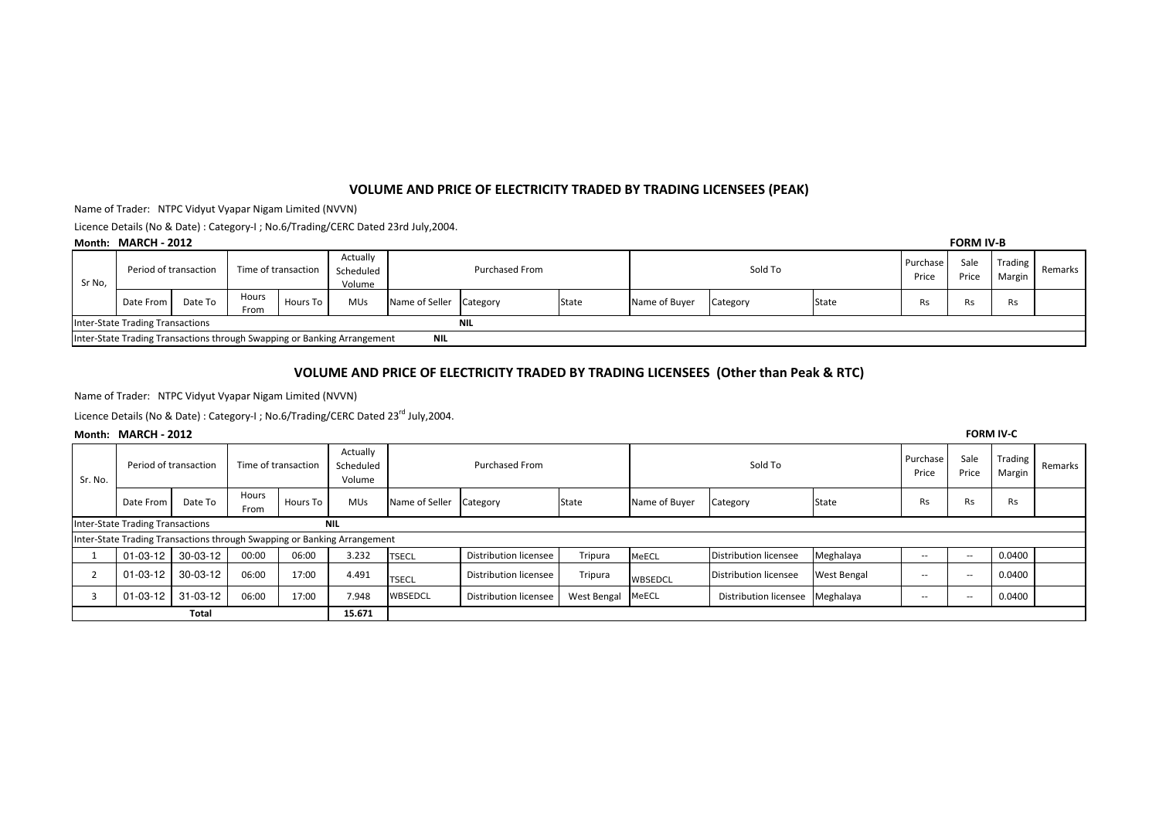## VOLUME AND PRICE OF ELECTRICITY TRADED BY TRADING LICENSEES (PEAK)

Name of Trader: NTPC Vidyut Vyapar Nigam Limited (NVVN)

Licence Details (No & Date): Category-I; No.6/Trading/CERC Dated 23rd July, 2004.

#### Month:  $MAPCH = 2012$

|                                                                                        | Month: MARCH - 2012   |         |                     |          |                                 |                         |  |              |               |          |       |                   | <b>FORM IV-B</b> |                            |         |  |
|----------------------------------------------------------------------------------------|-----------------------|---------|---------------------|----------|---------------------------------|-------------------------|--|--------------|---------------|----------|-------|-------------------|------------------|----------------------------|---------|--|
| Sr No,                                                                                 | Period of transaction |         | Time of transaction |          | Actually<br>Scheduled<br>Volume | Purchased From          |  |              | Sold To       |          |       | Purchase<br>Price | Sale<br>Price    | Trading  <br><b>Margin</b> | Remarks |  |
|                                                                                        | Date From             | Date To | Hours<br>From       | Hours To | <b>MUs</b>                      | Name of Seller Category |  | <b>State</b> | Name of Buyer | Category | State | Rs.               | ۸S.              | Rs                         |         |  |
| Inter-State Trading Transactions<br><b>NIL</b>                                         |                       |         |                     |          |                                 |                         |  |              |               |          |       |                   |                  |                            |         |  |
| Inter-State Trading Transactions through Swapping or Banking Arrangement<br><b>NIL</b> |                       |         |                     |          |                                 |                         |  |              |               |          |       |                   |                  |                            |         |  |

## VOLUME AND PRICE OF ELECTRICITY TRADED BY TRADING LICENSEES (Other than Peak & RTC)

Name of Trader: NTPC Vidyut Vyapar Nigam Limited (NVVN)

Licence Details (No & Date): Category-I; No.6/Trading/CERC Dated 23<sup>rd</sup> July, 2004.

#### Month: MARCH - 2012

| Sr. No.      | Period of transaction                          |          | Time of transaction |          | Actually<br>Scheduled<br>Volume                                          | <b>Purchased From</b> |                       |             | Sold To       |                              |                    | Purchase<br>Price | Sale<br>Price            | Trading<br>Margin | Remarks |
|--------------|------------------------------------------------|----------|---------------------|----------|--------------------------------------------------------------------------|-----------------------|-----------------------|-------------|---------------|------------------------------|--------------------|-------------------|--------------------------|-------------------|---------|
|              | Date From                                      | Date To  | Hours<br>From       | Hours To | <b>MUs</b>                                                               | Name of Seller        | Category              | State       | Name of Buyer | Category                     | State              | Rs                | <b>Rs</b>                | Rs                |         |
|              | Inter-State Trading Transactions<br><b>NIL</b> |          |                     |          |                                                                          |                       |                       |             |               |                              |                    |                   |                          |                   |         |
|              |                                                |          |                     |          | Inter-State Trading Transactions through Swapping or Banking Arrangement |                       |                       |             |               |                              |                    |                   |                          |                   |         |
|              | $01 - 03 - 12$                                 | 30-03-12 | 00:00               | 06:00    | 3.232                                                                    | <b>TSECL</b>          | Distribution licensee | Tripura     | MeECL         | <b>Distribution licensee</b> | Meghalaya          | $- -$             | $\sim$ $\sim$            | 0.0400            |         |
|              | $01 - 03 - 12$                                 | 30-03-12 | 06:00               | 17:00    | 4.491                                                                    | <b>TSECL</b>          | Distribution licensee | Tripura     | WBSEDCL       | Distribution licensee        | <b>West Bengal</b> | $- -$             | $\overline{\phantom{m}}$ | 0.0400            |         |
|              | 01-03-12                                       | 31-03-12 | 06:00               | 17:00    | 7.948                                                                    | WBSEDCL               | Distribution licensee | West Bengal | MeECL         | Distribution licensee        | Meghalaya          | $\sim$            | $\overline{\phantom{a}}$ | 0.0400            |         |
| <b>Total</b> |                                                |          |                     |          | 15.671                                                                   |                       |                       |             |               |                              |                    |                   |                          |                   |         |

**FORM IV-C**